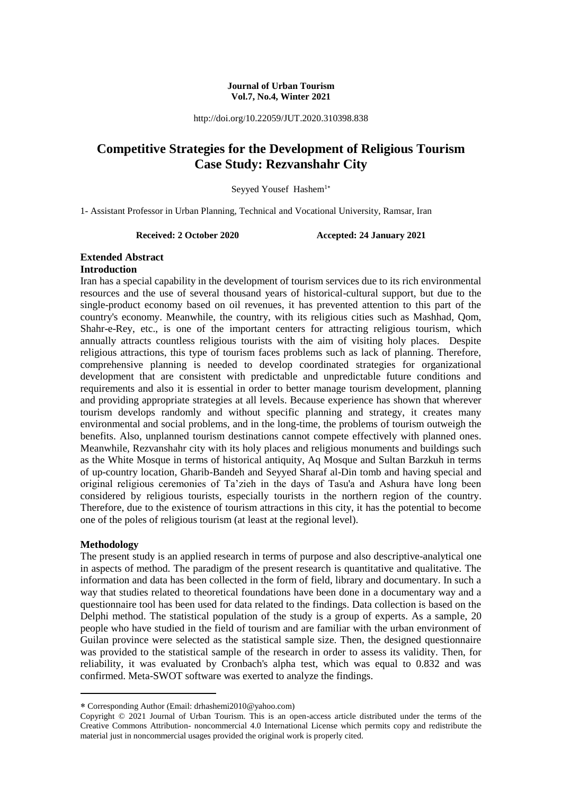#### **Journal of Urban Tourism Vol.7, No.4, Winter 2021**

http://doi.org/10.22059/JUT.2020.310398.838

# **Competitive Strategies for the Development of Religious Tourism Case Study: Rezvanshahr City**

Seyyed Yousef Hashem<sup>1\*</sup>

1- Assistant Professor in Urban Planning, Technical and Vocational University, Ramsar, Iran

**Received: 2 October 2020 Accepted: 24 January 2021**

#### **Extended Abstract Introduction**

Iran has a special capability in the development of tourism services due to its rich environmental resources and the use of several thousand years of historical-cultural support, but due to the single-product economy based on oil revenues, it has prevented attention to this part of the country's economy. Meanwhile, the country, with its religious cities such as Mashhad, Qom, Shahr-e-Rey, etc., is one of the important centers for attracting religious tourism, which annually attracts countless religious tourists with the aim of visiting holy places. Despite religious attractions, this type of tourism faces problems such as lack of planning. Therefore, comprehensive planning is needed to develop coordinated strategies for organizational development that are consistent with predictable and unpredictable future conditions and requirements and also it is essential in order to better manage tourism development, planning and providing appropriate strategies at all levels. Because experience has shown that wherever tourism develops randomly and without specific planning and strategy, it creates many environmental and social problems, and in the long-time, the problems of tourism outweigh the benefits. Also, unplanned tourism destinations cannot compete effectively with planned ones. Meanwhile, Rezvanshahr city with its holy places and religious monuments and buildings such as the White Mosque in terms of historical antiquity, Aq Mosque and Sultan Barzkuh in terms of up-country location, Gharib-Bandeh and Seyyed Sharaf al-Din tomb and having special and original religious ceremonies of Ta'zieh in the days of Tasu'a and Ashura have long been considered by religious tourists, especially tourists in the northern region of the country. Therefore, due to the existence of tourism attractions in this city, it has the potential to become one of the poles of religious tourism (at least at the regional level).

## **Methodology**

-

The present study is an applied research in terms of purpose and also descriptive-analytical one in aspects of method. The paradigm of the present research is quantitative and qualitative. The information and data has been collected in the form of field, library and documentary. In such a way that studies related to theoretical foundations have been done in a documentary way and a questionnaire tool has been used for data related to the findings. Data collection is based on the Delphi method. The statistical population of the study is a group of experts. As a sample, 20 people who have studied in the field of tourism and are familiar with the urban environment of Guilan province were selected as the statistical sample size. Then, the designed questionnaire was provided to the statistical sample of the research in order to assess its validity. Then, for reliability, it was evaluated by Cronbach's alpha test, which was equal to 0.832 and was confirmed. Meta-SWOT software was exerted to analyze the findings.

Corresponding Author (Email: drhashemi2010@yahoo.com)

Copyright © 2021 Journal of Urban Tourism. This is an open-access article distributed under the terms of the Creative Commons Attribution- noncommercial 4.0 International License which permits copy and redistribute the material just in noncommercial usages provided the original work is properly cited.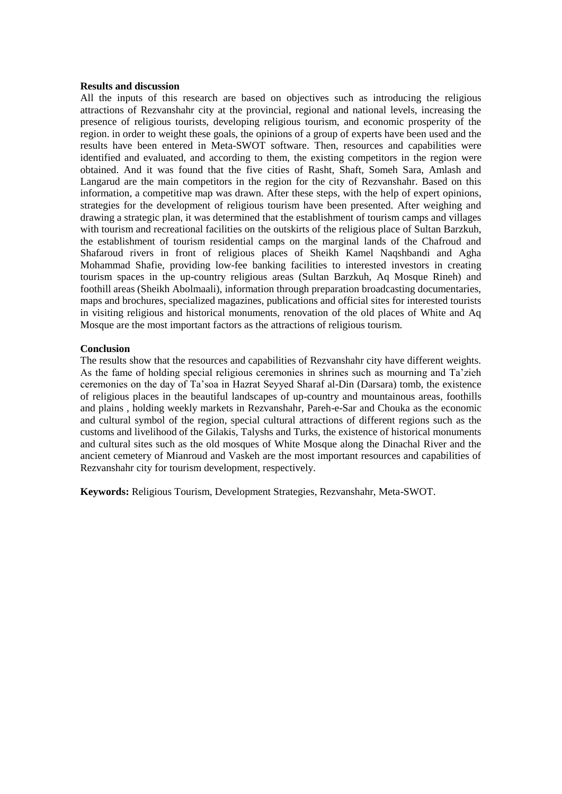#### **Results and discussion**

All the inputs of this research are based on objectives such as introducing the religious attractions of Rezvanshahr city at the provincial, regional and national levels, increasing the presence of religious tourists, developing religious tourism, and economic prosperity of the region. in order to weight these goals, the opinions of a group of experts have been used and the results have been entered in Meta-SWOT software. Then, resources and capabilities were identified and evaluated, and according to them, the existing competitors in the region were obtained. And it was found that the five cities of Rasht, Shaft, Someh Sara, Amlash and Langarud are the main competitors in the region for the city of Rezvanshahr. Based on this information, a competitive map was drawn. After these steps, with the help of expert opinions, strategies for the development of religious tourism have been presented. After weighing and drawing a strategic plan, it was determined that the establishment of tourism camps and villages with tourism and recreational facilities on the outskirts of the religious place of Sultan Barzkuh, the establishment of tourism residential camps on the marginal lands of the Chafroud and Shafaroud rivers in front of religious places of Sheikh Kamel Naqshbandi and Agha Mohammad Shafie, providing low-fee banking facilities to interested investors in creating tourism spaces in the up-country religious areas (Sultan Barzkuh, Aq Mosque Rineh) and foothill areas (Sheikh Abolmaali), information through preparation broadcasting documentaries, maps and brochures, specialized magazines, publications and official sites for interested tourists in visiting religious and historical monuments, renovation of the old places of White and Aq Mosque are the most important factors as the attractions of religious tourism.

#### **Conclusion**

The results show that the resources and capabilities of Rezvanshahr city have different weights. As the fame of holding special religious ceremonies in shrines such as mourning and Ta'zieh ceremonies on the day of Ta'soa in Hazrat Seyyed Sharaf al-Din (Darsara) tomb, the existence of religious places in the beautiful landscapes of up-country and mountainous areas, foothills and plains , holding weekly markets in Rezvanshahr, Pareh-e-Sar and Chouka as the economic and cultural symbol of the region, special cultural attractions of different regions such as the customs and livelihood of the Gilakis, Talyshs and Turks, the existence of historical monuments and cultural sites such as the old mosques of White Mosque along the Dinachal River and the ancient cemetery of Mianroud and Vaskeh are the most important resources and capabilities of Rezvanshahr city for tourism development, respectively.

**Keywords:** Religious Tourism, Development Strategies, Rezvanshahr, Meta-SWOT.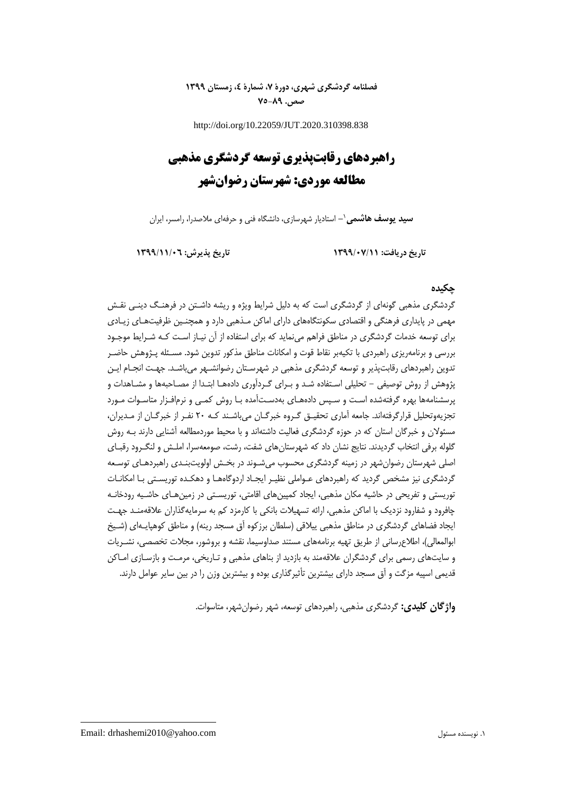## **فصلنامه گردشگری شهری، دورۀ ،7 شمارۀ ،4 زمستان 1399 صص. 75-89**

http://doi.org/10.22059/JUT.2020.310398.838

# **راهبردهای رقابتپذیری توسعه گردشگری مذهبی مطالعه موردی: شهرستان رضوانشهر**

**-** استادیار شهرسازی، دانشگاه فنی و حرفهای مالصدرا، رامسر، ایران **سید یوسف هاشمی**<sup>1</sup>

**تاریخ دریافت: 1399/07/11 تاریخ پذیرش: 1399/11/06**

## **چکیده**

گردشگری مذهبی گونهای از گردشگری است که به دلیل شرایط ویژه و ریشه داشـتن در فرهنـگ دینـی نقـش مهمی در پایداری فرهنگی و اقتصادی سکونتگاههای دارای اماکن مـذهبی دارد و همچنـین ظرفیتهـای زیـادی برای توسعه خدمات گردشگری در مناطق فراهم مینماید که برای استفاده از آن نیـاز اسـت کـه شـرای موجـود بررسی و برنامهریزی راهبردی با تکیهبر نقاط قوت و امکانات مناطق مذکور تدوین شود. مسـئله پـژوهش حاضـر تدوین راهبردهای رقابتپذیر و توسعه گردشگری مذهبی در شهرسـتان رضوانشـهر میباشـد. جهـت انجـام ایـن پژوهش از روش توصیفی - تحلیلی اسـتفاده شـد و بـرای گـردآوری دادههـا ابتـدا از مصـاحبهها و مشـاهدات و پرسشنامهها بهره گرفتهشده اسـت و سـپس دادههـای بهدسـتآمده بـا روش کمـی و نرمافـزار متاسـوات مـورد تجزیهوتحلیل قرارگرفتهاند. جامعه آماری تحقیـق گـروه خبرگـان میباشـند کـه 20 نفـر از خبرگـان از مـدیران، مسئولان و خبرگان استان که در حوزه گردشگری فعالیت داشتهاند و با محیط موردمطالعه آشنایی دارند بـه روش گلوله برفی انتخاب گردیدند. نتایج نشان داد که شهرستانهای شفت، رشت، صومعهسرا، املـش و لنگـرود رقبـای اصلی شهرستان رضوانشهر در زمینه گردشگری محسوب میشـوند در بخـش اولویتبنـدی راهبردهـای توسـعه گردشگری نیز مشخص گردید که راهبردهای عـواملی نظیـر ایجـاد اردوگاههـا و دهکـده توریسـتی بـا امکانـات توریستی و تفریحی در حاشیه مکان مذهبی، ایجاد کمپینهای اقامتی، توریسـتی در زمینهـای حاشـیه رودخانـه چافرود و شفارود نزدیک با اماکن مذهبی، ارائه تسهیالت بانکی با کارمزد کم به سرمایهگذاران عالقهمنـد جهـت ایجاد فضاهای گردشگری در مناطق مذهبی پیلاقی (سلطان برزکوه آق مسجد رینه) و مناطق کوهپایـهای (شـیخ ابوالمعالی(، اطالعرسانی از طریق تهیه برنامههای مستند صداوسیما، نقشه و بروشور، مجالت تخصصی، نشـریات و سایتهای رسمی برای گردشگران عالقهمند به بازدید از بناهای مذهبی و تـاریخی، مرمـت و بازسـازی امـاکن قدیمی اسپیه مزگت و آق مسجد دارای بیشترین تأثیرگذاری بوده و بیشترین وزن را در بین سایر عوامل دارند.

**واژگان کلیدی:** گردشگری مذهبی، راهبردهای توسعه، شهر رضوانشهر، متاسوات.

Email: drhashemi2010@yahoo.com مسئول نویسنده .1

**.**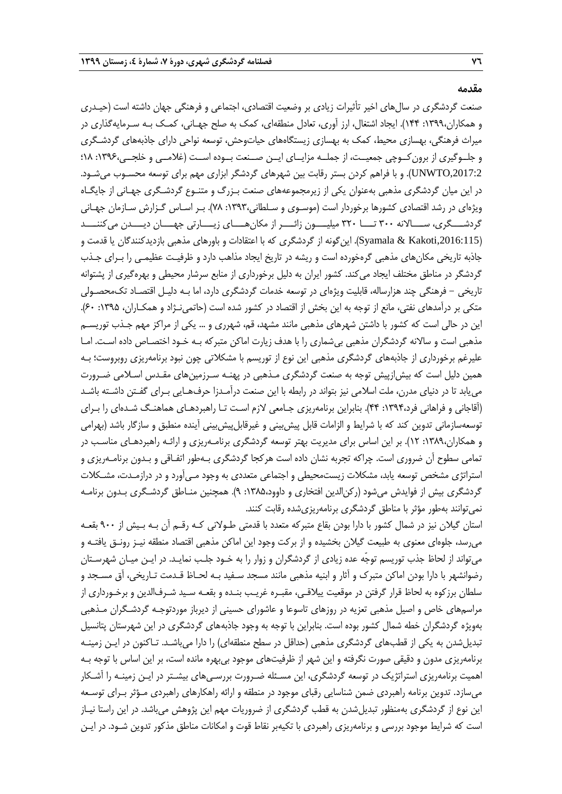**مقدمه**

صنعت گردشگری در سالهای اخیر تأثیرات زیادی بر وضعیت اقتصادی، اجتماعی و فرهنگی جهان داشته است )حیـدری و همکاران:1399، 144(. ایجاد اشتغال، ارز آوری، تعادل منطقهای، کمک به صلح جهـانی، کمـک بـه سـرمایهگذاری در میراث فرهنگی، بهسازی محیط، کمک به بهسازی زیستگاههای حیاتوحش، توسعه نواحی دارای جاذبههای گردشـگری و جلــوگیری از برونکــوچی جمعیــت، از جملــه مزایــای ایــن صــنعت بــوده اســت )غالمــی و خلجــی:1396، 18؛ ,2017:2UNWTO). و با فراهم کردن بستر رقابت بین شهرهای گردشگر ابزاری مهم برای توسعه محسـوب میشـود. در این میان گردشگری مذهبی بهعنوان یکی از زیرمجموعههای صنعت بـزرگ و متنـوع گردشـگری جهـانی از جایگـاه ویژهای در رشد اقتصادی کشورها برخوردار است (موسـوی و سـلطانی،۱۳۹۳: ۷۸). بـر اسـاس گـزارش سـازمان جهـانی گردشــــگری، ســــالانه ٣٢٠ تــــا ٣٢٠ میلیــــون زائــــر از مکانهــــای زیــــارتی جهــــان دیــــدن میکننــــد ),2016:115Kakoti & Syamala). اینگونه از گردشگری که با اعتقادات و باورهای مذهبی بازدیدکنندگان یا قدمت و جاذبه تاریخی مکانهای مذهبی گرهخورده است و ریشه در تاریخ ایجاد مذاهب دارد و ظرفیـت عظیمـی را بـرای جـذب گردشگر در مناطق مختلف ایجاد میکند. کشور ایران به دلیل برخورداری از منابع سرشار محیطی و بهرهگیری از پشتوانه تاریخی - فرهنگی چند هزارساله، قابلیت ویژهای در توسعه خدمات گردشگری دارد، اما بـه دلیـل اقتصـاد تکمحصـولی متکی بر درآمدهای نفتی، مانع از توجه به این بخش از اقتصاد در کشور شده است (حاتمی نـژاد و همکـاران، ۱۳۹۵: ۶۰). این در حالی است که کشور با داشتن شهرهای مذهبی مانند مشهد، قم، شهرری و ... یکی از مراکز مهم جـذب توریسـم مذهبی است و ساالنه گردشگران مذهبی بیشماری را با هدف زیارت اماکن متبرکه بـه خـود اختصـاص داده اسـت. امـا علیرغم برخورداری از جاذبههای گردشگری مذهبی این نوع از توریسم با مشکالتی چون نبود برنامهریزی روبروست؛ بـه همین دلیل است که بیشازپیش توجه به صنعت گردشگری مـذهبی در پهنـه سـرزمینهای مقـدس اسـالمی ضـرورت مییابد تا در دنیای مدرن، ملت اسالمی نیز بتواند در رابطه با این صنعت درآمـدزا حرفهـایی بـرای گفـتن داشـته باشـد )آقاجانی و فراهانی فرد:1394، 44(. بنابراین برنامهریزی جـامعی الزم اسـت تـا راهبردهـای هماهنـگ شـدهای را بـرای توسعهسازمانی تدوین کند که با شرایط و الزامات قابل پیشبینی و غیرقابلپیشبینی آینده منطبق و سازگار باشد (بهرامی و همکاران:1389، 12(. بر این اساس برای مدیریت بهتر توسعه گردشگری برنامـهریزی و ارائـه راهبردهـای مناسـب در تمامی سطوح آن ضروری است. چراکه تجربه نشان داده است هرکجا گردشگری بـهطور اتفـاقی و بـدون برنامـهریزی و استراتژی مشخص توسعه یابد، مشکالت زیستمحیطی و اجتماعی متعددی به وجود مـیآورد و در درازمـدت، مشـکالت گردشگری بیش از فوایدش میشود (رکن|لدین افتخاری و داوود،۱۳۸۵: ۹). همچنین منـاطق گردشـگری بـدون برنامـه نمیتوانند بهطور مؤثر با مناطق گردشگری برنامهریزیشده رقابت کنند.

استان گیالن نیز در شمال کشور با دارا بودن بقاع متبرکه متعدد با قدمتی طـوالنی کـه رقـم آن بـه بـیش از 900 بقعـه میرسد، جلوهای معنوی به طبیعت گیالن بخشیده و از برکت وجود این اماکن مذهبی اقتصاد منطقه نیـز رونـق یافتـه و میتواند از لحاظ جذب توریسم توجّه عده زیادی از گردشگران و زوار را به خـود جلـب نمایـد. در ایـن میـان شهرسـتان رضوانشهر با دارا بودن اماکن متبرك و آثار و ابنیه مذهبی مانند مسجد سـفید بـه لحـاظ قـدمت تـاریخی، آق مسـجد و سلطان برزکوه به لحاظ قرار گرفتن در موقعیت ییالقـی، مقبـره غریـب بنـده و بقعـه سـید شـرفالدین و برخـورداری از مراسمهای خاص و اصیل مذهبی تعزیه در روزهای تاسوعا و عاشورای حسینی از دیرباز موردتوجـه گردشـگران مـذهبی بهویژه گردشگران خطه شمال کشور بوده است. بنابراین با توجه به وجود جاذبههای گردشگری در این شهرستان پتانسیل تبدیلشدن به یکی از قطبهای گردشگری مذهبی (حداقل در سطح منطقهای) را دارا میباشـد. تـاکنون در ایـن زمینـه برنامهریزی مدون و دقیقی صورت نگرفته و این شهر از ظرفیتهای موجود بیبهره مانده است، بر این اساس با توجه بـه اهمیت برنامهریزی استراتژیک در توسعه گردشگری، این مسـئله ضـرورت بررسـیهای بیشـتر در ایـن زمینـه را آشـکار میسازد. تدوین برنامه راهبردی ضمن شناسایی رقبای موجود در منطقه و ارائه راهکارهای راهبردی مـؤثر بـرای توسـعه این نوع از گردشگری بهمنظور تبدیلشدن به قطب گردشگری از ضروریات مهم این پژوهش میباشد. در این راستا نیـاز است که شرایط موجود بررسی و برنامهریزی راهبردی با تکیهبر نقاط قوت و امکانات مناطق مذکور تدوین شـود. در ایـن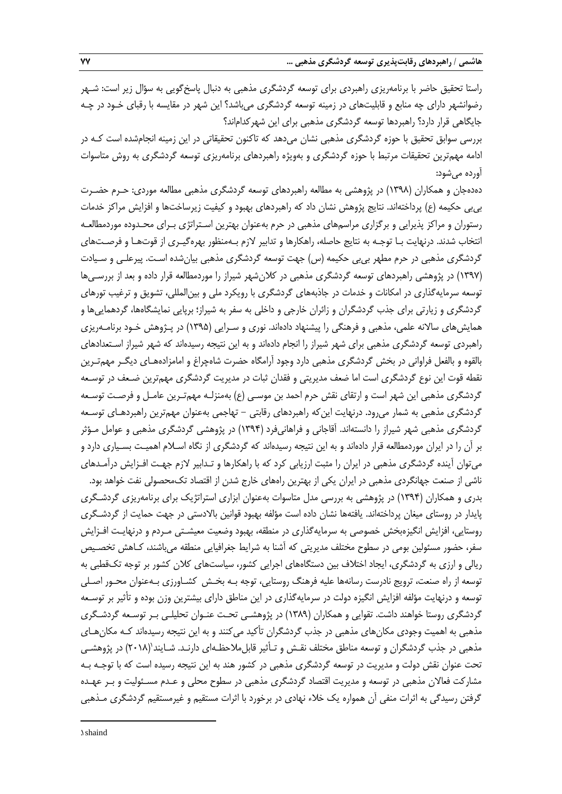راستا تحقیق حاضر با برنامهریزی راهبردی برای توسعه گردشگری مذهبی به دنبال پاسخگویی به سؤال زیر است: شـهر رضوانشهر دارای چه منابع و قابلیتهای در زمینه توسعه گردشگری میباشد؟ این شهر در مقایسه با رقبای خـود در چـه جایگاهی قرار دارد؟ راهبردها توسعه گردشگری مذهبی برای این شهرکداماند؟

بررسی سوابق تحقیق با حوزه گردشگری مذهبی نشان میدهد که تاکنون تحقیقاتی در این زمینه انجامشده است کـه در ادامه مهمترین تحقیقات مرتبط با حوزه گردشگری و بهویژه راهبردهای برنامهریزی توسعه گردشگری به روش متاسوات آورده میشود:

دهدهجان و همکاران )1398( در پژوهشی به مطالعه راهبردهای توسعه گردشگری مذهبی مطالعه موردی: حـرم حضـرت بیبی حکیمه )ع( پرداختهاند. نتایج پژوهش نشان داد که راهبردهای بهبود و کیفیت زیرساختها و افزایش مراکز خدمات رستوران و مراکز پذیرایی و برگزاری مراسمهای مذهبی در حرم بهعنوان بهترین اسـتراتژی بـرای محـدوده موردمطالعـه انتخاب شدند. درنهایت بـا توجـه به نتایج حاصله، راهکارها و تدابیر الزم بـهمنظور بهرهگیـری از قوتهـا و فرصـتهای گردشگری مذهبی در حرم مطهر بیبی حکیمه (س) جهت توسعه گردشگری مذهبی بیانشده اسـت. پیرعلـی و سـیادت )1397( در پژوهشی راهبردهای توسعه گردشگری مذهبی در کالنشهر شیراز را موردمطالعه قرار داده و بعد از بررسـیها توسعه سرمایهگذاری در امکانات و خدمات در جاذبههای گردشگری با رویکرد ملی و بینالمللی، تشویق و ترغیب تورهای گردشگری و زیارتی برای جذب گردشگران و زائران خارجی و داخلی به سفر به شیراز؛ برپایی نمایشگاهها، گردهماییها و همایشهای ساالنه علمی، مذهبی و فرهنگی را پیشنهاد دادهاند. نوری و سـرایی )1395( در پـژوهش خـود برنامـهریزی راهبردی توسعه گردشگری مذهبی برای شهر شیراز را انجام دادهاند و به این نتیجه رسیدهاند که شهر شیراز اسـتعدادهای بالقوه و بالفعل فراوانی در بخش گردشگری مذهبی دارد وجود آرامگاه حضرت شاهچراغ و امامزادههـای دیگـر مهمتـرین نقطه قوت این نوع گردشگری است اما ضعف مدیریتی و فقدان ثبات در مدیریت گردشگری مهمترین ضـعف در توسـعه گردشگری مذهبی این شهر است و ارتقای نقش حرم احمد بن موسـی (ع) بهمنزلـه مهمتـرین عامـل و فرصـت توسـعه گردشگری مذهبی به شمار میرود. درنهایت اینکه راهبردهای رقابتی - تهاجمی بهعنوان مهمترین راهبردهـای توسـعه گردشگری مذهبی شهر شیراز را دانستهاند. آقاجانی و فراهانیفرد )1394( در پژوهشی گردشگری مذهبی و عوامل مـؤثر بر آن را در ایران موردمطالعه قرار دادهاند و به این نتیجه رسیدهاند که گردشگری از نگاه اسـالم اهمیـت بسـیاری دارد و میتوان آینده گردشگری مذهبی در ایران را مثبت ارزیابی کرد که با راهکارها و تـدابیر الزم جهـت افـزایش درآمـدهای

ناشی از صنعت جهانگردی مذهبی در ایران یکی از بهترین راههای خارج شدن از اقتصاد تکمحصولی نفت خواهد بود. بدری و همکاران )1394( در پژوهشی به بررسی مدل متاسوات بهعنوان ابزاری استراتژیک برای برنامهریزی گردشـگری پایدار در روستای میغان پرداختهاند. یافتهها نشان داده است مؤلفه بهبود قوانین باالدستی در جهت حمایت از گردشـگری روستایی، افزایش انگیزهبخش خصوصی به سرمایهگذاری در منطقه، بهبود وضعیت معیشـتی مـردم و درنهایـت افـزایش سفر، حضور مسئولین بومی در سطوح مختلف مدیریتی که آشنا به شرایط جغرافیایی منطقه میباشند، کـاهش تخصـیص ریالی و ارزی به گردشگری، ایجاد اختالف بین دستگاههای اجرایی کشور، سیاستهای کالن کشور بر توجه تکقطبی به توسعه از راه صنعت، ترویج نادرست رسانهها علیه فرهنگ روستایی، توجه بـه بخـش کشـاورزی بـهعنوان محـور اصـلی توسعه و درنهایت مؤلفه افزایش انگیزه دولت در سرمایهگذاری در این مناطق دارای بیشترین وزن بوده و تأثیر بر توسـعه گردشگری روستا خواهند داشت. تقوایی و همکاران )1389( در پژوهشـی تحـت عنـوان تحلیلـی بـر توسـعه گردشـگری مذهبی به اهمیت وجودی مکانهای مذهبی در جذب گردشگران تأکید میکنند و به این نتیجه رسیدهاند کـه مکانهـای مذهبی در جذب گردشگران و توسعه مناطق مختلف نقـش و تـأثیر قابل1لاحظـهای دارنـد. شـایند'(۲۰۱۸) در پژوهشـی تحت عنوان نقش دولت و مدیریت در توسعه گردشگری مذهبی در کشور هند به این نتیجه رسیده است که با توجـه بـه مشارکت فعاالن مذهبی در توسعه و مدیریت اقتصاد گردشگری مذهبی در سطوح محلی و عـدم مسـئولیت و بـر عهـده گرفتن رسیدگی به اثرات منفی آن همواره یک خالء نهادی در برخورد با اثرات مستقیم و غیرمستقیم گردشگری مـذهبی

1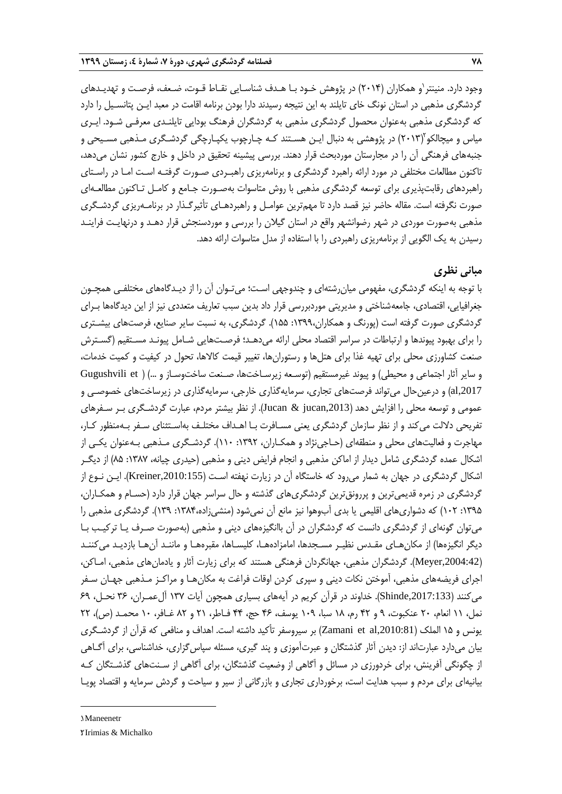وجود دارد. منینتر ٰو همکاران (۲۰۱۴) در پژوهش خـود بـا هـدف شناسـایی نقـاط قـوت، ضـعف، فرصـت و تهدیـدهای گردشگری مذهبی در استان نونگ خای تایلند به این نتیجه رسیدند دارا بودن برنامه اقامت در معبد ایـن پتانسـیل را دارد که گردشگری مذهبی بهعنوان محصول گردشگری مذهبی به گردشگران فرهنگ بودایی تایلنـدی معرفـی شـود. ایـری میاس و میچالکو ۲۰۱۳) در پژوهشی به دنبال ایـن هسـتند کـه چـارچوب یکپـارچگی گردشـگری مـذهبی مسـیحی و جنبههای فرهنگی آن را در مجارستان موردبحث قرار دهند. بررسی پیشینه تحقیق در داخل و خارج کشور نشان میدهد، تاکنون مطالعات مختلفی در مورد ارائه راهبرد گردشگری و برنامهریزی راهبـردی صـورت گرفتـه اسـت امـا در راسـتای راهبردهای رقابتپذیری برای توسعه گردشگری مذهبی با روش متاسوات بهصـورت جـامع و کامـل تـاکنون مطالعـهای صورت نگرفته است. مقاله حاضر نیز قصد دارد تا مهمترین عوامـل و راهبردهـای تأثیرگـذار در برنامـهریزی گردشـگری مذهبی بهصورت موردی در شهر رضوانشهر واقع در استان گیالن را بررسی و موردسنجش قرار دهـد و درنهایـت فراینـد رسیدن به یک الگویی از برنامهریزی راهبردی را با استفاده از مدل متاسوات ارائه دهد.

## **مبانی نظری**

با توجه به اینکه گردشگری، مفهومی میانرشتهای و چندوجهی اسـت؛ میتـوان آن را از دیـدگاههای مختلفـی همچـون جغرافیایی، اقتصادی، جامعهشناختی و مدیریتی موردبررسی قرار داد بدین سبب تعاریف متعددی نیز از این دیدگاهها بـرای گردشگری صورت گرفته است )پورنگ و همکاران:1399، 155(. گردشگری، به نسبت سایر صنایع، فرصتهای بیشـتری را برای بهبود پیوندها و ارتباطات در سراسر اقتصاد محلی ارائه میدهـد؛ فرصـتهایی شـامل پیونـد مسـتقیم )گسـترش صنعت کشاورزی محلی برای تهیه غذا برای هتلها و رستورانها، تغییر قیمت کاالها، تحول در کیفیت و کمیت خدمات، و سایر آثار اجتماعی و محیطی) و پیوند غیرمستقیم (توسـعه زیرسـاخت۵ها، صـنعت ساختوسـاز و ...) ( Gugushvili et al,2017) و درعینحال میتواند فرصتهای تجاری، سرمایهگذاری خارجی، سرمایهگذاری در زیرساختهای خصوصـی و عمومی و توسعه محلی را افزایش دهد ),2013jucan & Jucan). از نظر بیشتر مردم، عبارت گردشـگری بـر سـفرهای تفریحی داللت میکند و از نظر سازمان گردشگری یعنی مسـافرت بـا اهـداف مختلـف بهاسـتثنای سـفر بـهمنظور کـار، مهاجرت و فعالیتهای محلی و منطقهای (حـاجی $i$ ژاد و همکـاران، ۱۳۹۲: ۱۱۰). گردشـگری مـذهبی بـهعنوان یکـی از اشکال عمده گردشگری شامل دیدار از اماکن مذهبی و انجام فرایض دینی و مذهبی )حیدری چیانه، :1387 85( از دیگـر اشکال گردشگری در جهان به شمار میرود که خاستگاه آن در زیارت نهفته اسـت ),2010:155Kreiner). ایـن نـوع از گردشگری در زمره قدیمیترین و پررونق ترین گردشگریهای گذشته و حال سراسر جهان قرار دارد (حسـام و همکـاران، :1395 102( که دشواریهای اقلیمی یا بدی آبوهوا نیز مانع آن نمیشود )منشیزاده:1384، 139(. گردشگری مذهبی را میتوان گونهای از گردشگری دانست که گردشگران در آن باانگیزههای دینی و مذهبی )بهصورت صـرف یـا ترکیـب بـا دیگر انگیزهها) از مکان هـای مقـدس نظیـر مسـجدها، امامزادههـا، کلیسـاها، مقبرههـا و ماننـد آنهـا بازدیـد میکننـد ),2004:42Meyer). گردشگران مذهبی، جهانگردان فرهنگی هستند که برای زیارت آثار و یادمانهای مذهبی، امـاکن، اجرای فریضههای مذهبی، آموختن نکات دینی و سپری کردن اوقات فراغت به مکانهـا و مراکـز مـذهبی جهـان سـفر میکنند ),2017:133Shinde). خداوند در قرآن کریم در آیههای بسیاری همچون آیات 137 آلعمـران، 36 نحـل، 69 نمل، 11 انعام، 20 عنکبوت، 9 و 42 رم، 18 سبا، 109 یوسف، 46 حج، 44 فـاطر، 21 و 82 غـافر، 10 محمـد )ص(، 22 یونس و 15 الملک ),2010:81al et Zamani )بر سیروسفر تأکید داشته است. اهداف و منافعی که قرآن از گردشـگری بیان میدارد عبارتاند از: دیدن آثار گذشتگان و عبرتآموزی و پند گیری، مسئله سپاسگزاری، خداشناسی، برای آگـاهی از چگونگی آفرینش، برای خردورزی در مسائل و آگاهی از وضعیت گذشتگان، برای آگاهی از سـنتهای گذشـتگان کـه بیانیهای برای مردم و سبب هدایت است، برخورداری تجاری و بازرگانی از سیر و سیاحت و گردش سرمایه و اقتصاد پویـا

## 1. Maneenetr

**.** 

<sup>2</sup>. Irimias & Michalko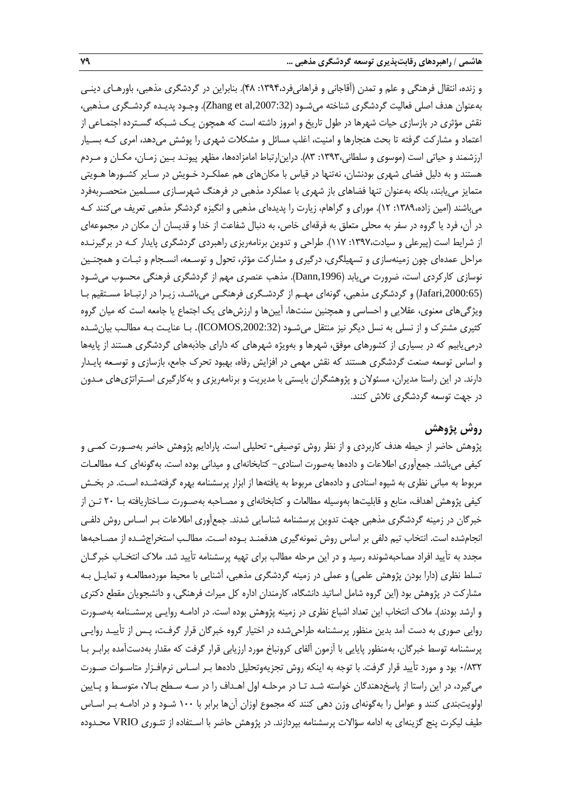و زنده، انتقال فرهنگی و علم و تمدن )آقاجانی و فراهانیفرد:1394، 48(. بنابراین در گردشگری مذهبی، باورهـای دینـی بهعنوان هدف اصلی فعالیت گردشگری شناخته میشـود ),2007:32al et Zhang). وجـود پدیـده گردشـگری مـذهبی، نقش مؤثری در بازسازی حیات شهرها در طول تاریخ و امروز داشته است که همچون یـک شـبکه گسـترده اجتمـاعی از اعتماد و مشارکت گرفته تا بحث هنجارها و امنیت، اغلب مسائل و مشکلات شهری را پوشش میدهد، امری کـه بسـیار ارزشمند و حیاتی است )موسوی و سلطانی:1393، 83(. دراینارتباط امامزادهها، مظهر پیونـد بـین زمـان، مکـان و مـردم هستند و به دلیل فضای شهری بودنشان، نهتنها در قیاس با مکانهای هم عملکـرد خـویش در سـایر کشـورها هـویتی متمایز مییابند، بلکه بهعنوان تنها فضاهای باز شهری با عملکرد مذهبی در فرهنگ شهرسـازی مسـلمین منحصـربهفرد میباشند )امین زاده:1389، 12(. مورای و گراهام، زیارت را پدیدهای مذهبی و انگیزه گردشگر مذهبی تعریف میکنند کـه در آن، فرد یا گروه در سفر به محلی متعلق به فرقهای خاص، به دنبال شفاعت از خدا و قدیسان آن مکان در مجموعهای از شرایط است (پیرعلی و سیادت:۱۳۹۷: ۱۱۷). طراحی و تدوین برنامهریزی راهبردی گردشگری پایدار کـه در برگیرنـده مراحل عمدهای چون زمینهسازی و تسهیلگری، درگیری و مشارکت مؤثر، تحول و توسـعه، انسـجام و ثبـات و همچنـین نوسازی کارکردی است، ضرورت مییابد ),1996Dann). مذهب عنصری مهم از گردشگری فرهنگی محسوب میشـود ),2000:65Jafari )و گردشگری مذهبی، گونهای مهـم از گردشـگری فرهنگـی میباشـد، زیـرا در ارتبـاط مسـتقیم بـا ویژگیهای معنوی، عقالیی و احساسی و همچنین سنتها، آیینها و ارزشهای یک اجتماع یا جامعه است که میان گروه کثیری مشترك و از نسلی به نسل دیگر نیز منتقل میشـود ),2002:32ICOMOS). بـا عنایـت بـه مطالـب بیانشـده درمییابیم که در بسیاری از کشورهای موفق، شهرها و بهویژه شهرهای که دارای جاذبههای گردشگری هستند از پایهها و اساس توسعه صنعت گردشگری هستند که نقش مهمی در افزایش رفاه، بهبود تحرك جامع، بازسازی و توسـعه پایـدار دارند. در این راستا مدیران، مسئوالن و پژوهشگران بایستی با مدیریت و برنامهریزی و بهکارگیری اسـتراتژیهای مـدون در جهت توسعه گردشگری تالش کنند.

## **روش پژوهش**

پژوهش حاضر از حیطه هدف کاربردی و از نظر روش توصیفی- تحلیلی است. پارادایم پژوهش حاضر بهصـورت کمـی و کیفی میباشد. جمعآوری اطالعات و دادهها بهصورت اسنادی- کتابخانهای و میدانی بوده است. بهگونهای کـه مطالعـات مربوط به مبانی نظری به شیوه اسنادی و دادههای مربوط به یافتهها از ابزار پرسشنامه بهره گرفتهشـده اسـت. در بخـش کیفی پژوهش اهداف، منابع و قابلیتها بهوسیله مطالعات و کتابخانهای و مصـاحبه بهصـورت سـاختاریافته بـا 20 تـن از خبرگان در زمینه گردشگری مذهبی جهت تدوین پرسشنامه شناسایی شدند. جمعآوری اطالعات بـر اسـاس روش دلفـی انجامشده است. انتخاب تیم دلفی بر اساس روش نمونهگیری هدفمنـد بـوده اسـت. مطالـب استخراجشـده از مصـاحبهها مجدد به تأیید افراد مصاحبهشونده رسید و در این مرحله مطالب برای تهیه پرسشنامه تأیید شد. مالك انتخـاب خبرگـان تسلط نظری (دارا بودن پژوهش علمی) و عملی در زمینه گردشگری مذهبی، آشنایی با محیط موردمطالعـه و تمایـل بـه مشارکت در پژوهش بود (این گروه شامل اساتید دانشگاه، کارمندان اداره کل میراث فرهنگی، و دانشجویان مقطع دکتری و ارشد بودند). ملاک انتخاب این تعداد اشباع نظری در زمینه پژوهش بوده است. در ادامـه روایـی پرسشـنامه بهصـورت روایی صوری به دست آمد بدین منظور پرسشنامه طراحیشده در اختیار گروه خبرگان قرار گرفـت، پـس از تأییـد روایـی پرسشنامه توسط خبرگان، بهمنظور پایایی با آزمون آلفای کرونباخ مورد ارزیابی قرار گرفت که مقدار بهدستآمده برابـر بـا 0/832 بود و مورد تأیید قرار گرفت. با توجه به اینکه روش تجزیهوتحلیل دادهها بـر اسـاس نرمافـزار متاسـوات صـورت میگیرد، در این راستا از پاسخدهندگان خواسته شـد تـا در مرحلـه اول اهـداف را در سـه سـطح بـاال، متوسـ و پـایین اولویتبندی کنند و عوامل را بهگونهای وزن دهی کنند که مجموع اوزان آنها برابر با 100 شـود و در ادامـه بـر اسـاس طیف لیکرت پنج گزینهای به ادامه سؤاالت پرسشنامه بپردازند. در پژوهش حاضر با اسـتفاده از تئـوری VRIO محـدوده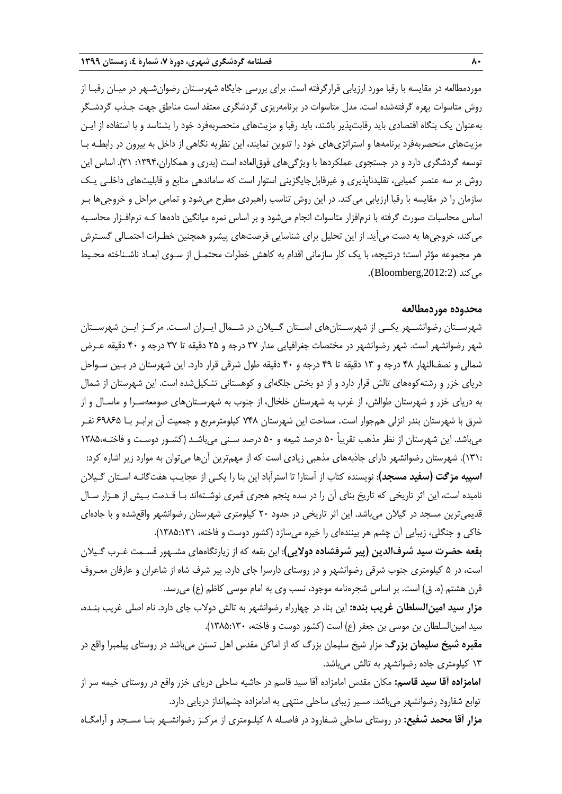موردمطالعه در مقایسه با رقبا مورد ارزیابی قرارگرفته است. برای بررسی جایگاه شهرسـتان رضوانشـهر در میـان رقبـا از روش متاسوات بهره گرفتهشده است. مدل متاسوات در برنامهریزی گردشگری معتقد است مناطق جهت جـذب گردشـگر بهعنوان یک بنگاه اقتصادی باید رقابتپذیر باشند، باید رقبا و مزیتهای منحصربهفرد خود را بشناسد و با استفاده از ایـن مزیتهای منحصربهفرد برنامهها و استراتژیهای خود را تدوین نمایند، این نظریه نگاهی از داخل به بیرون در رابطـه بـا توسعه گردشگری دارد و در جستجوی عملکردها با ویژگیهای فوقالعاده است )بدری و همکاران:1394، 31(. اساس این روش بر سه عنصر کمیابی، تقلیدناپذیری و غیرقابل جایگزینی استوار است که ساماندهی منابع و قابلیتهای داخلـی یـک سازمان را در مقایسه با رقبا ارزیابی میکند. در این روش تناسب راهبردی مطرح میشود و تمامی مراحل و خروجیها بـر اساس محاسبات صورت گرفته با نرمافزار متاسوات انجام میشود و بر اساس نمره میانگین دادهها کـه نرمافـزار محاسـبه میکند، خروجیها به دست میآید. از این تحلیل برای شناسایی فرصتهای پیشرو همچنین خطـرات احتمـالی گسـترش هر مجموعه مؤثر است؛ درنتیجه، با یک کار سازمانی اقدام به کاهش خطرات محتمـل از سـوی ابعـاد ناشـناخته محـی میکند ),2012:2Bloomberg).

#### **محدوده موردمطالعه**

شهرســتان رضوانشــهر یکــی از شهرســتانهای اســتان گــیالن در شــمال ایــران اســت. مرکــز ایــن شهرســتان شهر رضوانشهر است. شهر رضوانشهر در مختصات جغرافیایی مدار 37 درجه و 25 دقیقه تا 37 درجه و 40 دقیقه عـرض شمالی و نصفالنهار 48 درجه و 13 دقیقه تا 49 درجه و 40 دقیقه طول شرقی قرار دارد. این شهرستان در بـین سـواحل دریای خزر و رشتهکوههای تالش قرار دارد و از دو بخش جلگهای و کوهستانی تشکیلشده است. این شهرستان از شمال به دریای خزر و شهرستان طوالش، از غرب به شهرستان خلخال، از جنوب به شهرسـتانهای صومعهسـرا و ماسـال و از شرق با شهرستان بندر انزلی همجوار است. مساحت این شهرستان 748 کیلومترمربع و جمعیت آن برابـر بـا 69865 نفـر میباشد. این شهرستان از نظر مذهب تقریباً 50 درصد شیعه و 50 درصد سـنی میباشـد )کشـور دوسـت و فاختـه1385، 131:(. شهرستان رضوانشهر دارای جاذبههای مذهبی زیادی است که از مهمترین آنها میتوان به موارد زیر اشاره کرد: **اسپیه مزگت )سفید مسجد(**: نویسنده کتاب از آستارا تا استرآباد این بنا را یکـی از عجایـب هفتگانـه اسـتان گـیالن نامیده است، این اثر تاریخی که تاریخ بنای آن را در سده پنجم هجری قمری نوشـتهاند بـا قـدمت بـیش از هـزار سـال قدیمیترین مسجد در گیالن میباشد. این اثر تاریخی در حدود 20 کیلومتری شهرستان رضوانشهر واقعشده و با جادهای خاکی و جنگلی، زیبایی آن چشم هر بینندهای را خیره میسازد (کشور دوست و فاخته، ۱۳۸:۱۲۸۵).

**بقعه حضرت سید شرفالدین )پیر شرفشاده دوالیی(**: این بقعه که از زیارتگاههای مشـهور قسـمت غـرب گـیالن است، در 5 کیلومتری جنوب شرقی رضوانشهر و در روستای دارسرا جای دارد. پیر شرف شاه از شاعران و عارفان معـروف قرن هشتم (ه. ق) است. بر اساس شجرهنامه موجود، نسب وی به امام موسی کاظم (ع) می رسد.

**مزار سید امینالسلطان غریب بنده:** این بنا، در چهارراه رضوانشهر به تالش دوالب جای دارد. نام اصلی غریب بنـده، سید امین|لسلطان بن موسی بن جعفر (ع) است (کشور دوست و فاخته، ۱۳۰۵:۱۲۸۵).

**مقبره شیخ سلیمان بزرگ**: مزار شیخ سلیمان بزرگ که از اماکن مقدس اهل تسنن میباشد در روستای پیلمبرا واقع در 13 کیلومتری جاده رضوانشهر به تالش میباشد.

**امامزاده آقا سید قاسم:** مکان مقدس امامزاده آقا سید قاسم در حاشیه ساحلی دریای خزر واقع در روستای خیمه سر از توابع شفارود رضوانشهر میباشد. مسیر زیبای ساحلی منتهی به امامزاده چشمانداز دریایی دارد.

**مزار آقا محمد شفیع:** در روستای ساحلی شـفارود در فاصـله 8 کیلـومتری از مرکـز رضوانشـهر بنـا مسـجد و آرامگـاه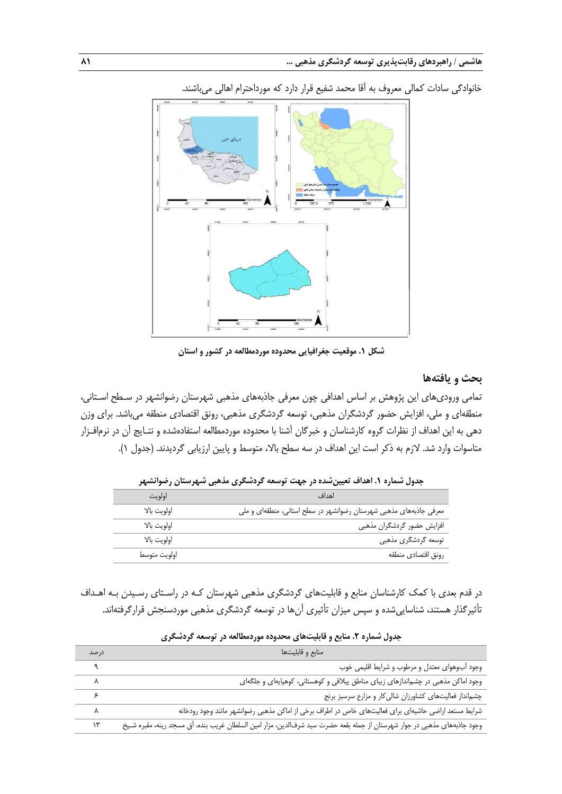

خانوادگی سادات کمالی معروف به آقا محمد شفیع قرار دارد که مورداحترام اهالی میباشند.

**شکل .1 موقعیت جغرافیایی محدوده موردمطالعه در کشور و استان**

## **بحث و یافتهها**

تمامی ورودیهای این پژوهش بر اساس اهدافی چون معرفی جاذبههای مذهبی شهرستان رضوانشهر در سـطح اسـتانی، منطقهای و ملی، افزایش حضور گردشگران مذهبی، توسعه گردشگری مذهبی، رونق اقتصادی منطقه میباشد. برای وزن دهی به این اهداف از نظرات گروه کارشناسان و خبرگان آشنا با محدوده موردمطالعه استفادهشده و نتـایج آن در نرمافـزار متاسوات وارد شد. لازم به ذکر است این اهداف در سه سطح بالا، متوسط و پایین ارزیابی گردیدند. (جدول ۱).

|              | , دون سنترد (۱۳۶۰–۱۳۰۰) میلی است. در ۲۰۰۰–۲۰۰۰ در است برای است برای میکرد. است را با استفاده است. |
|--------------|---------------------------------------------------------------------------------------------------|
| اولويت       | اهداف                                                                                             |
| اولويت بالا  | معرفی جاذبههای مذهبی شهرستان رضوانشهر در سطح استانی، منطقهای و ملی                                |
| اولويت بالا  | افزایش حضور گردشگران مذهبی                                                                        |
| اولويت بالا  | توسعه گردشگری مذهبی                                                                               |
| اولويت متوسط | رونق اقتصادي منطقه                                                                                |
|              |                                                                                                   |

**جدول شماره .1 اهداف تعیینشده در جهت توسعه گردشگری مذهبی شهرستان رضوانشهر**

در قدم بعدی با کمک کارشناسان منابع و قابلیتهای گردشگری مذهبی شهرستان کـه در راسـتای رسـیدن بـه اهـداف تأثیرگذار هستند، شناساییشده و سپس میزان تأثیری آنها در توسعه گردشگری مذهبی موردسنجش قرارگرفتهاند.

| در صد | منابع و قابليتها                                                                                                          |
|-------|---------------------------------------------------------------------------------------------------------------------------|
|       | وجود أب وهواي معتدل و مرطوب و شرايط اقليمي خوب                                                                            |
|       | وجود اماکن مذهبی در چشماندازهای زیبای مناطق ییلاقی و کوهستانی، کوهپایهای و جلگهای                                         |
|       | چشم انداز فعالیتهای کشاورزان شالی کار و مزارع سرسبز برنج                                                                  |
| ٨     | شرایط مستعد اراضی حاشیهای برای فعالیتهای خاص در اطراف برخی از اماکن مذهبی رضوانشهر مانند وجود رودخانه                     |
| ۱۳    | وجود جاذبههای مذهبی در جوار شهرستان از جمله بقعه حضرت سید شرفالدین، مزار امین السلطان غریب بنده، أق مسجد رینه، مقبره شـیخ |

**جدول شماره .2 منابع و قابلیتهای محدوده موردمطالعه در توسعه گردشگری**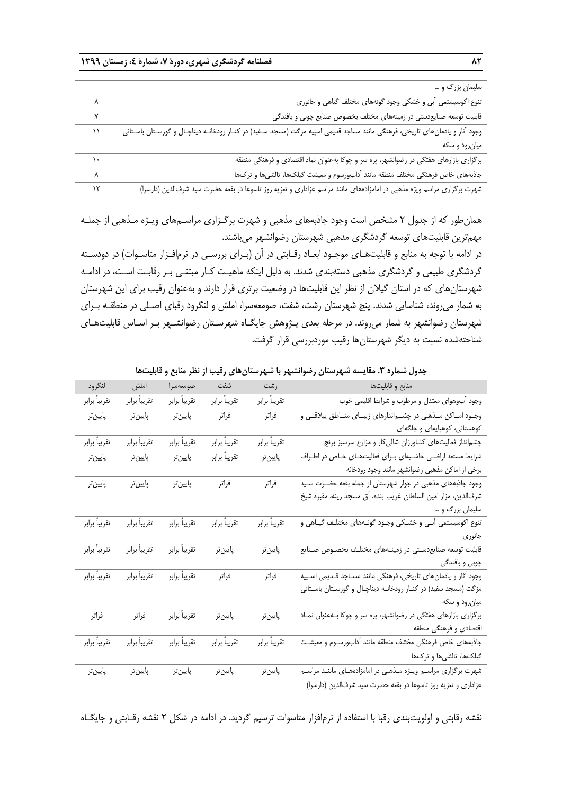| سلیمان بزرگ و …                                                                                                                     |           |
|-------------------------------------------------------------------------------------------------------------------------------------|-----------|
| تنوع اکوسیستمی آبی و خشکی وجود گونههای مختلف گیاهی و جانوری<br>$\lambda$                                                            |           |
| $\mathsf{v}$<br>قابلیت توسعه صنایعدستی در زمینههای مختلف بخصوص صنایع چوبی و بافندگی                                                 |           |
| وجود آثار و یادمانهای تاریخی، فرهنگی مانند مساجد قدیمی اسپیه مزگت (مسجد سـفید) در کنـار رودخانـه دیناچـال و گورسـتان باسـتانی<br>۱۱ |           |
| میان رود و سکه                                                                                                                      |           |
| برگزاری بازارهای هفتگی در رضوانشهر، پره سر و چوکا بهعنوان نماد اقتصادی و فرهنگی منطقه                                               | $\lambda$ |
| جاذبههای خاص فرهنگی مختلف منطقه مانند أدابورسوم و معیشت گیلکها، تالشیها و ترکها                                                     | $\lambda$ |
| شهرت برگزاری مراسم ویژه مذهبی در امامزادههای مانند مراسم عزاداری و تعزیه روز تاسوعا در بقعه حضرت سید شرفالدین (دارسرا)<br>$\lambda$ |           |

همانطور که از جدول 2 مشخص است وجود جاذبههای مذهبی و شهرت برگـزاری مراسـمهای ویـژه مـذهبی از جملـه مهمترین قابلیتهای توسعه گردشگری مذهبی شهرستان رضوانشهر میباشند.

در ادامه با توجه به منابع و قابلیتهـای موجـود ابعـاد رقـابتی در آن (بـرای بررسـی در نرمافـزار متاسـوات) در دودسـته گردشگری طبیعی و گردشگری مذهبی دستهبندی شدند. به دلیل اینکه ماهیـت کـار مبتنـی بـر رقابـت اسـت، در ادامـه شهرستانهای که در استان گیالن از نظر این قابلیتها در وضعیت برتری قرار دارند و بهعنوان رقیب برای این شهرستان به شمار میروند، شناسایی شدند. پنج شهرستان رشت، شفت، صومعهسرا، املش و لنگرود رقبای اصـلی در منطقـه بـرای شهرستان رضوانشهر به شمار میروند. در مرحله بعدی پـژوهش جایگـاه شهرسـتان رضوانشـهر بـر اسـاس قابلیتهـای شناختهشده نسبت به دیگر شهرستانها رقیب موردبررسی قرار گرفت.

| لنگرود        | املش          | صومعهسرا      | شفت           | رشت           | منابع و قابليتها                                                  |
|---------------|---------------|---------------|---------------|---------------|-------------------------------------------------------------------|
| تقريباً برابر | تقريباً برابر | تقريباً برابر | تقريباً برابر | تقريباً برابر | وجود آبوهوای معتدل و مرطوب و شرایط اقلیمی خوب                     |
| پايينتر       | پايينتر       | پايينتر       | فراتر         | فراتر         | وجـود امـاكن مـذهبي در چشـماندازهاي زيبـاي منـاطق ييلاقـي و       |
|               |               |               |               |               | کوهستانی، کوهپایهای و جلگهای                                      |
| تقريباً برابر | تقريباً برابر | تقريباً برابر | تقريباً برابر | تقريباً برابر | چشمانداز فعالیتهای کشاورزان شالیکار و مزارع سرسبز برنج            |
| پايينتر       | پايينتر       | پايينتر       | تقريباً برابر | پايينتر       | شرایط مستعد اراضی حاشیهای برای فعالیتهای خاص در اطراف             |
|               |               |               |               |               | برخي از اماكن مذهبي رضوانشهر مانند وجود رودخانه                   |
| پايينتر       | پايينتر       | پايينتر       | فراتر         | فراتر         | وجود جاذبههای مذهبی در جوار شهرستان از جمله بقعه حضـرت سـيد       |
|               |               |               |               |               | شرفالدین، مزار امین السلطان غریب بنده، آق مسجد رینه، مقبره شیخ    |
|               |               |               |               |               | سلیمان بزرگ و …                                                   |
| تقريباً برابر | تقريباً برابر | تقريباً برابر | تقريباً برابر | تقريباً برابر | تنوع اکوسیستمی آبـی و خشـکی وجـود گونـههای مختلـف گیـاهی و        |
|               |               |               |               |               | جانورى                                                            |
| تقريباً برابر | تقريباً برابر | تقريباً برابر | پايينتر       | پايينتر       | قابلیت توسعه صنایعدستی در زمینـههای مختلـف بخصــوص صــنایع        |
|               |               |               |               |               | چوبی و بافندگی                                                    |
| تقريباً برابر |               |               | فراتر         | فراتر         | وجود أثار و يادمانهاى تاريخى، فرهنگى مانند مســاجد قــديمى اسـپيه |
|               |               |               |               |               | مزگت (مسجد سفید) در کنـار رودخانـه دیناچـال و گورسـتان باسـتانی   |
|               |               |               |               |               | میان رود و سکه                                                    |
| فراتر         | فراتر         | تقريباً برابر | پايينتر       | يايين تر      | برگزاری بازارهای هفتگی در رضوانشهر، پره سر و چوکا بـهعنوان نمـاد  |
|               |               |               |               |               | اقتصادى و فرهنگى منطقه                                            |
| تقريباً برابر | تقريباً برابر | تقريباً برابر | تقريباً برابر | تقريباً برابر | جاذبههاى خاص فرهنگى مختلف منطقه مانند أدابورسـوم و معيشـت         |
|               |               |               |               |               | گیلکها، تالشیها و ترکها                                           |
| پايينتر       | پايينتر       | پايينتر       | پايينتر       | پايينتر       | شهرت برگزاری مراسم ویـژه مـذهبی در امامزادههـای ماننـد مراسـم     |
|               |               |               |               |               | عزاداری و تعزیه روز تاسوعا در بقعه حضرت سید شرفالدین (دارسرا)     |
|               |               |               |               |               |                                                                   |

**جدول شماره .3 مقایسه شهرستان رضوانشهر با شهرستانهای رقیب از نظر منابع و قابلیتها**

نقشه رقابتی و اولویتبندی رقبا با استفاده از نرمافزار متاسوات ترسیم گردید. در ادامه در شکل 2 نقشه رقـابتی و جایگـاه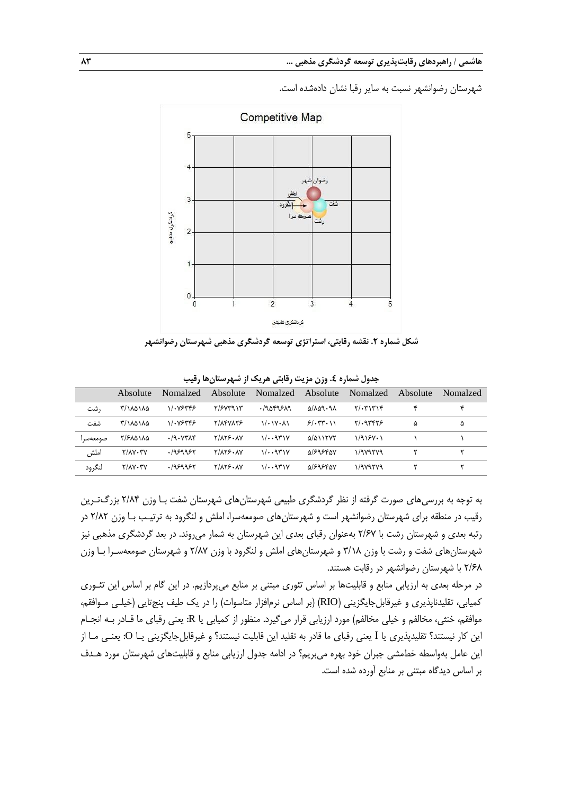شهرستان رضوانشهر نسبت به سایر رقبا نشان دادهشده است.



**شکل شماره .2 نقشه رقابتی، استراتژی توسعه گردشگری مذهبی شهرستان رضوانشهر**

|          | Absolute | Nomalzed | Absolute        | Nomalzed | Absolute                          | Nomalzed        | Absolute | Nomalzed |
|----------|----------|----------|-----------------|----------|-----------------------------------|-----------------|----------|----------|
| , شت     | ۲/۱۸۵۱۸۵ | 11.78448 | Y/FVYQYY        | ۹۵۴۹۶۸۹. | $\Delta/\lambda \Delta9.9\lambda$ | $Y/\cdot Y'$    |          | ۴        |
| شفت      | ۲/۱۸۵۱۸۵ | 11.85445 | <b>TIAFVATS</b> | 1/11     | 5/577.11                          | $Y \cdot 97975$ | ۵        | ۵        |
| صومعةسرا | ۲/۶۸۵۱۸۵ | .79.7714 | $Y/AYF\cdot AY$ | 1/2.971V | $\Delta/\Delta$ 11777             | $1/915V+1$      |          |          |
| املش     | Y/AY. YV | .1959951 | $Y/AYF\cdot AY$ | 1/2.971V | <b>Q/S954QV</b>                   | 1/989789        |          |          |
| لنگرود   | Y/AY. YV | .1959951 | $Y/AYF\cdot AY$ | 1/2.971V | <b>Q/S954QV</b>                   | 1/989789        |          |          |
|          |          |          |                 |          |                                   |                 |          |          |

**جدول شماره .4 وزن مزیت رقابتی هریک از شهرستانها رقیب**

به توجه به بررسیهای صورت گرفته از نظر گردشگری طبیعی شهرستانهای شهرستان شفت بـا وزن 2/84 بزرگتـرین رقیب در منطقه برای شهرستان رضوانشهر است و شهرستانهای صومعهسرا، املش و لنگرود به ترتیـب بـا وزن 2/82 در رتبه بعدی و شهرستان رشت با 2/67 بهعنوان رقبای بعدی این شهرستان به شمار میروند. در بعد گردشگری مذهبی نیز شهرستانهای شفت و رشت با وزن 3/18 و شهرستانهای املش و لنگرود با وزن 2/87 و شهرستان صومعهسـرا بـا وزن 2/68 با شهرستان رضوانشهر در رقابت هستند.

در مرحله بعدی به ارزیابی منابع و قابلیتها بر اساس تئوری مبتنی بر منابع میپردازیم. در این گام بر اساس این تئـوری کمیابی، تقلیدناپذیری و غیرقابلجایگزینی (RIO) (بر اساس نرمافزار متاسوات) را در یک طیف پنجتایی (خیلـی مـوافقم، موافقم، خنثی، مخالفم و خیلی مخالفم) مورد ارزیابی قرار میگیرد. منظور از کمیابی یا R: یعنی رقبای ما قـادر بـه انجـام این کار نیستند؟ تقلیدپذیری یا I یعنی رقبای ما قادر به تقلید این قابلیت نیستند؟ و غیرقابلجایگزینی یـا O: یعنـی مـا از این عامل بهواسطه خطمشی جبران خود بهره میبریم؟ در ادامه جدول ارزیابی منابع و قابلیتهای شهرستان مورد هـدف بر اساس دیدگاه مبتنی بر منابع آورده شده است.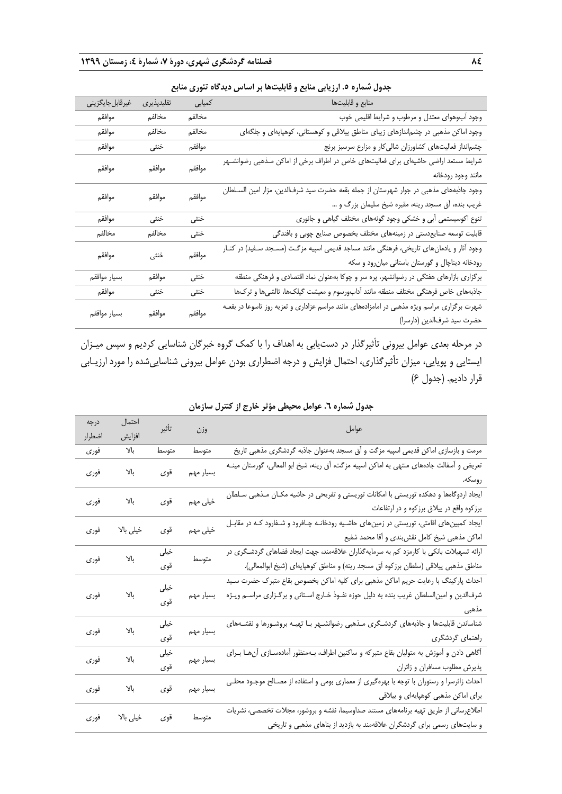| غیرقابل جایگزینی | تقليدپذيرى | کمیابی | منابع و قابليتها                                                                             |
|------------------|------------|--------|----------------------------------------------------------------------------------------------|
| موافقم           | مخالفم     | مخالفم | وجود أبوهواي معتدل و مرطوب و شرايط اقليمي خوب                                                |
| موافقم           | مخالفم     | مخالفم | وجود اماکن مذهبی در چشم ندازهای زیبای مناطق ییلاقی و کوهستانی، کوهپایهای و جلگهای            |
| موافقم           | خنثى       | موافقم | چشمانداز فعالیتهای کشاورزان شالی کار و مزارع سرسبز برنج                                      |
| موافقم           | موافقم     | موافقم | شرایط مستعد اراضی حاشیهای برای فعالیتهای خاص در اطراف برخی از اماکن مـذهبی رضوانشـهر         |
|                  |            |        | مانند وجود رودخانه                                                                           |
| موافقم           | موافقم     | موافقم | وجود جاذبههای مذهبی در جوار شهرستان از جمله بقعه حضرت سید شرفالدین، مزار امین السـلطان       |
|                  |            |        | غریب بنده، أق مسجد رینه، مقبره شیخ سلیمان بزرگ و …                                           |
| موافقم           | خنثى       | خنثى   | تنوع اکوسیستمی آبی و خشکی وجود گونههای مختلف گیاهی و جانوری                                  |
| مخالفم           | مخالفم     | خنثى   | قابلیت توسعه صنایعدستی در زمینههای مختلف بخصوص صنایع چوبی و بافندگی                          |
| موافقم           | خنثى       | موافقم | وجود آثار و یادمانهای تاریخی، فرهنگی مانند مساجد قدیمی اسپیه مزگت (مسـجد سـفید) در کنـار     |
|                  |            |        | رودخانه دیناچال و گورستان باستانی میانرود و سکه                                              |
| بسيار موافقم     | موافقم     | خنثى   | برگزاری بازارهای هفتگی در رضوانشهر، پره سر و چوکا بهعنوان نماد اقتصادی و فرهنگی منطقه        |
| موافقم           | خنثى       | خنثى   | جاذبههای خاص فرهنگی مختلف منطقه مانند آدابورسوم و معیشت گیلک&، تالشیها و ترکها               |
|                  |            |        | شهرت برگزاری مراسم ویژه مذهبی در امامزادههای مانند مراسم عزاداری و تعزیه روز تاسوعا در بقعـه |
| بسيار موافقم     | موافقم     | موافقم | حضرت سيد شرفالدين (دارسرا)                                                                   |

**جدول شماره .5 ارزیابی منابع و قابلیتها بر اساس دیدگاه تئوری منابع**

در مرحله بعدی عوامل بیرونی تأثیرگذار در دستیابی به اهداف را با کمک گروه خبرگان شناسایی کردیم و سپس میـزان ایستایی و پویایی، میزان تأثیرگذاری، احتمال فزایش و درجه اضطراری بودن عوامل بیرونی شناساییشده را مورد ارزیـابی قرار دادیم. )جدول 6(

| عوامل                                                                                                                                                                                    |           | تأثير       | احتمال    | درجه   |
|------------------------------------------------------------------------------------------------------------------------------------------------------------------------------------------|-----------|-------------|-----------|--------|
|                                                                                                                                                                                          | وزن       |             | افزايش    | اضطرار |
| مرمت و بازسازی اماکن قدیمی اسپیه مزگت و آق مسجد بهعنوان جاذبه گردشگری مذهبی تاریخ                                                                                                        | متوسط     | متوسط       | بالا      | فورى   |
| تعریض و اَسفالت جادههای منتهی به اماکن اسپیه مزگت، اَق رینه، شیخ ابو المعالی، گورستان مینـه<br>روسكه.                                                                                    | بسيار مهم | قوى         | بالا      | فورى   |
| ایجاد اردوگامها و دهکده توریستی با امکانات توریستی و تفریحی در حاشیه مکـان مـذهبی سـلطان<br>برزکوه واقع در ییلاق برزکوه و در ارتفاعات                                                    | خیلی مهم  | قوى         | بالا      | فوري   |
| ایجاد کمپینهای اقامتی، توریستی در زمینهای حاشـیه رودخانـه چـافرود و شـفارود کـه در مقابـل<br>اماکن مذهبی شیخ کامل نقشبندی و أقا محمد شفیع                                                | خیلی مهم  | قوى         | خیلی بالا | فوري   |
| ارائه تسهیلات بانکی با کارمزد کم به سرمایهگذاران علاقهمند، جهت ایجاد فضاهای گردشگری در<br>مناطق مذهبي ييلاقي (سلطان برزكوه أق مسجد رينه) و مناطق كوهپايهاي (شيخ ابوالمعالي).             | متوسط     | خيلى<br>قوى | بالا      | فوري   |
| احداث پارکینگ با رعایت حریم اماکن مذهبی برای کلیه اماکن بخصوص بقاع متبرک حضرت سـید<br>شرفالدین و امینالسلطان غریب بنده به دلیل حوزه نفـوذ خـارج اسـتانی و برگـزاری مراسـم ویـژه<br>مذهبى | بسيار مهم | خيلى<br>قوى | بالا      | فوري   |
| شناساندن قابلیتها و جاذبههای گردشگری مـذهبی رضوانشـهر بـا تهیـه بروشـورها و نقشـههای<br>راهنمای گردشگری                                                                                  | بسيار مهم | خیلی<br>قوى | بالا      | فوري   |
| أگاهی دادن و آموزش به متولیان بقاع متبرکه و ساکنین اطراف، بـهمنظور آمادهسـازی آنهـا بـرای<br>پذیرش مطلوب مسافران و زائران                                                                | بسيار مهم | خيلى<br>قوى | بالا      | فوري   |
| احداث زائرسرا و رستوران با توجه با بهرهگیری از معماری بومی و استفاده از مصـالح موجـود محلــی<br>برای اماکن مذهبی کوهپایهای و ییلاقی                                                      | بسيار مهم | قوى         | Yl        | فوري   |
| اطلاعرسانی از طریق تهیه برنامههای مستند صداوسیما، نقشه و بروشور، مجلات تخصصی، نشریات<br>و سایتهای رسمی برای گردشگران علاقهمند به بازدید از بناهای مذهبی و تاریخی                         | متوسط     | قوى         | خیلی بالا | فورى   |
|                                                                                                                                                                                          |           |             |           |        |

## **جدول شماره .6 عوامل محیطی مؤثر خارج از کنترل سازمان**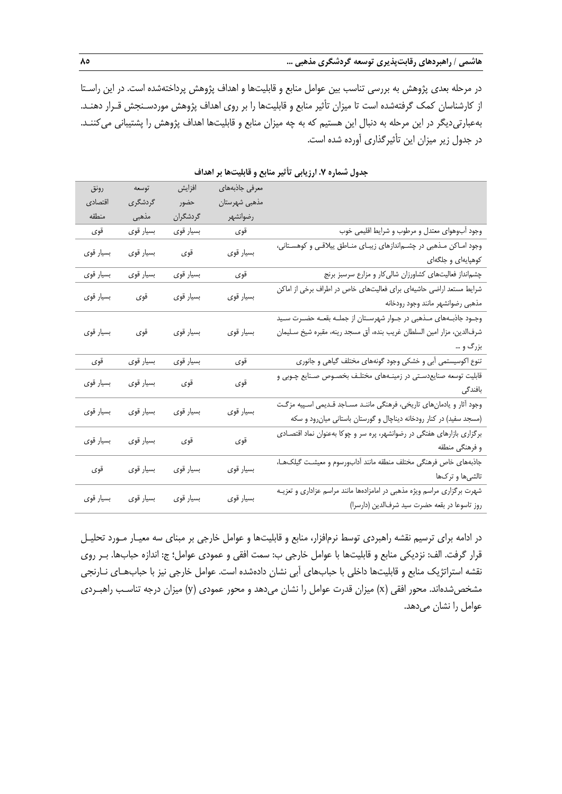در مرحله بعدی پژوهش به بررسی تناسب بین عوامل منابع و قابلیتها و اهداف پژوهش پرداختهشده است. در این راسـتا از کارشناسان کمک گرفتهشده است تا میزان تأثیر منابع و قابلیتها را بر روی اهداف پژوهش موردسـنجش قـرار دهنـد. بهعبارتیدیگر در این مرحله به دنبال این هستیم که به چه میزان منابع و قابلیتها اهداف پژوهش را پشتیبانی میکننـد. در جدول زیر میزان این تأثیرگذاری آورده شده است.

| معرفى جاذبههاى<br>افزايش<br>رونق<br>توسعه                                                                                    |                    |
|------------------------------------------------------------------------------------------------------------------------------|--------------------|
| مذهبي شهرستان<br>حضور<br>گردشگری<br>اقتصادي                                                                                  |                    |
| مذهبي<br>رضوانشهر<br>گردشگران<br>منطقه                                                                                       |                    |
| بسيار قوي<br>بسيار قوى<br>وجود آبوهواي معتدل و مرطوب و شرايط اقليمي خوب<br>قوى<br>قوى                                        |                    |
| وجود امـاکن مـذهبی در چشـم ندازهای زیبـای منـاطق ییلاقـی و کوهسـتانی،<br>قوى<br>بسيار قوى<br>بسيار قوى<br>بسيار قوي          |                    |
|                                                                                                                              | کوهپایهای و جلگهای |
| قوى<br>بسيار قوي<br>چشم نداز فعالیتهای کشاورزان شالی کار و مزارع سرسبز برنج                                                  |                    |
| شرایط مستعد اراضی حاشیهای برای فعالیتهای خاص در اطراف برخی از اماکن<br>قوى<br>بسیار قو <i>ی</i><br>بسيار قوي<br>بسيار قوى    |                    |
| مذهبي رضوانشهر مانند وجود رودخانه                                                                                            |                    |
| وجـود جاذبــههاى مــذهبى در جــوار شهرســتان از جملــه بقعــه حضــرت ســيد                                                   |                    |
| بسيار قوى<br>بسيار قوي<br>بسيار قوى<br>شرفالدین، مزار امین السلطان غریب بنده، أق مسجد رینه، مقبره شیخ سـلیمان<br>قوى         |                    |
|                                                                                                                              | بزرگ و …           |
| ۔<br>بسیار قو <i>ی</i><br>قوى<br>قوى<br>بسيار قوى<br>تنوع اکوسیستمی آبی و خشکی وجود گونههای مختلف گیاهی و جانوری             |                    |
| قابلیت توسعه صنایعدسـتی در زمینــههای مختلـف بخصــوص صــنایع چــوبی و<br>بسيار قوى<br>قوى<br>قوى<br>بسيار قوي                |                    |
|                                                                                                                              | بافندگی            |
| وجود أثار و یادمانهای تاریخی، فرهنگی ماننـد مسـاجد قـدیمی اسـپیه مزگـت<br>بسيار قوى<br>بسيار قوى<br>بسيار قوى<br>بسيار قوى   |                    |
| (مسجد سفید) در کنار رودخانه دیناچال و گورستان باستانی میان رود و سکه                                                         |                    |
| برگزاری بازارهای هفتگی در رضوانشهر، پره سر و چوکا بهعنوان نماد اقتصـادی<br>قوى<br>قوى<br>بسيار قوى<br>بسيار قوى              |                    |
|                                                                                                                              | و فرهنگی منطقه     |
| جاذبههاى خاص فرهنگى مختلف منطقه مانند أدابورسوم و معيشت گيلكهـا،<br>بسيار قوى<br>بسيار قوى<br>بسيار قوى<br>قوى               |                    |
|                                                                                                                              | تالشیها و ترکها    |
| شهرت برگزاری مراسم ویژه مذهبی در امامزادهها مانند مراسم عزاداری و تعزیـه<br>بسيار قوى<br>بسيار قوى<br>بسيار قوى<br>بسيار قوى |                    |
| روز تاسوعا در بقعه حضرت سيد شرفالدين (دارسرا)                                                                                |                    |

**جدول شماره .7 ارزیابی تأثیر منابع و قابلیتها بر اهداف**

در ادامه برای ترسیم نقشه راهبردی توسط نرمافزار، منابع و قابلیتها و عوامل خارجی بر مبنای سه معیـار مـورد تحلیـل قرار گرفت. الف: نزدیکی منابع و قابلیتها با عوامل خارجی ب: سمت افقی و عمودی عوامل؛ ج: اندازه حبابها. بـر روی نقشه استراتژیک منابع و قابلیتها داخلی با حبابهای آبی نشان دادهشده است. عوامل خارجی نیز با حبابهـای نـارنجی مشخص شدهاند. محور افقی (x) میزان قدرت عوامل را نشان میدهد و محور عمودی (y) میزان درجه تناسب راهبـردی عوامل را نشان میدهد.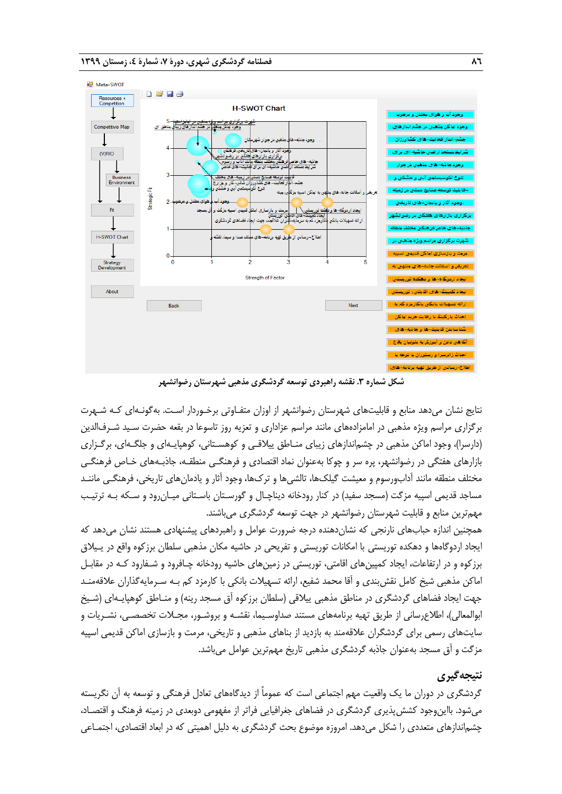

**شکل شماره .3 نقشه راهبردی توسعه گردشگری مذهبی شهرستان رضوانشهر**

نتایج نشان میدهد منابع و قابلیتهای شهرستان رضوانشهر از اوزان متفـاوتی برخـوردار اسـت. بهگونـهای کـه شـهرت برگزاری مراسم ویژه مذهبی در امامزادههای مانند مراسم عزاداری و تعزیه روز تاسوعا در بقعه حضرت سـید شـرفالدین )دارسرا(، وجود اماکن مذهبی در چشماندازهای زیبای منـاطق ییالقـی و کوهسـتانی، کوهپایـهای و جلگـهای، برگـزاری بازارهای هفتگی در رضوانشهر، پره سر و چوکا بهعنوان نماد اقتصادی و فرهنگـی منطقـه، جاذبـههای خـاص فرهنگـی مختلف منطقه مانند آدابورسوم و معیشت گیلکها، تالشیها و تركها، وجود آثار و یادمانهای تاریخی، فرهنگـی ماننـد مساجد قدیمی اسپیه مزگت (مسجد سفید) در کنار رودخانه دیناچـال و گورسـتان باسـتانی میـانرود و سـکه بـه ترتیـب مهمترین منابع و قابلیت شهرستان رضوانشهر در جهت توسعه گردشگری میباشند.

همچنین اندازه حبابهای نارنجی که نشاندهنده درجه ضرورت عوامل و راهبردهای پیشنهادی هستند نشان میدهد که ایجاد اردوگاهها و دهکده توریستی با امکانات توریستی و تفریحی در حاشیه مکان مذهبی سلطان برزکوه واقع در یـیالق برزکوه و در ارتفاعات، ایجاد کمپینهای اقامتی، توریستی در زمینهای حاشیه رودخانه چـافرود و شـفارود کـه در مقابـل اماکن مذهبی شیخ کامل نقشبندی و آقا محمد شفیع، ارائه تسهیالت بانکی با کارمزد کم بـه سـرمایهگذاران عالقهمنـد جهت ایجاد فضاهای گردشگری در مناطق مذهبی ییلاقی (سلطان برزکوه آق مسجد رینه) و منـاطق کوهپایـهای (شـیخ ابوالمعالی(، اطالعرسانی از طریق تهیه برنامههای مستند صداوسـیما، نقشـه و بروشـور، مجـالت تخصصـی، نشـریات و سایتهای رسمی برای گردشگران عالقهمند به بازدید از بناهای مذهبی و تاریخی، مرمت و بازسازی اماکن قدیمی اسپیه مزگت و آق مسجد بهعنوان جاذبه گردشگری مذهبی تاریخ مهمترین عوامل میباشد.

## **نتیجهگیری**

گردشگری در دوران ما یک واقعیت مهم اجتماعی است که عموماً از دیدگاههای تعادل فرهنگی و توسعه به آن نگریسته میشود. بااینوجود کششپذیری گردشگری در فضاهای جغرافیایی فراتر از مفهومی دوبعدی در زمینه فرهنگ و اقتصـاد، چشماندازهای متعددی را شکل میدهد. امروزه موضوع بحث گردشگری به دلیل اهمیتی که در ابعاد اقتصادی، اجتمـاعی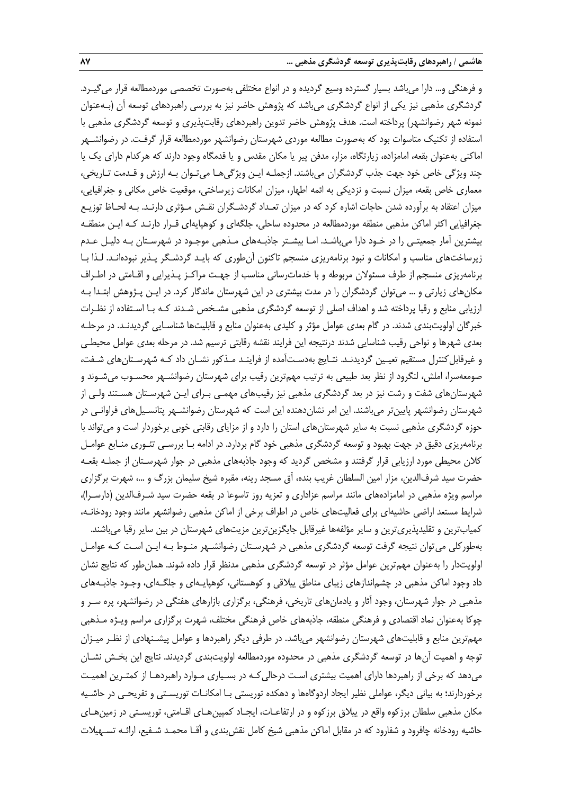و فرهنگی و... دارا میباشد بسیار گسترده وسیع گردیده و در انواع مختلفی بهصورت تخصصی موردمطالعه قرار میگیـرد. گردشگری مذهبی نیز یکی از انواع گردشگری میباشد که پژوهش حاضر نیز به بررسی راهبردهای توسعه آن )بـهعنوان نمونه شهر رضوانشهر( پرداخته است. هدف پژوهش حاضر تدوین راهبردهای رقابتپذیری و توسعه گردشگری مذهبی با استفاده از تکنیک متاسوات بود که بهصورت مطالعه موردی شهرستان رضوانشهر موردمطالعه قرار گرفـت. در رضوانشـهر اماکنی بهعنوان بقعه، امامزاده، زیارتگاه، مزار، مدفن پیر یا مکان مقدس و یا قدمگاه وجود دارند که هرکدام دارای یک یا چند ویژگی خاص خود جهت جذب گردشگران میباشند. ازجملـه ایـن ویژگیهـا میتـوان بـه ارزش و قـدمت تـاریخی، معماری خاص بقعه، میزان نسبت و نزدیکی به ائمه اطهار، میزان امکانات زیرساختی، موقعیت خاص مکانی و جغرافیایی، میزان اعتقاد به برآورده شدن حاجات اشاره کرد که در میزان تعـداد گردشـگران نقـش مـؤثری دارنـد. بـه لحـاظ توزیـع جغرافیایی اکثر اماکن مذهبی منطقه موردمطالعه در محدوده ساحلی، جلگهای و کوهپایهای قـرار دارنـد کـه ایـن منطقـه بیشترین آمار جمعیتـی را در خـود دارا میباشـد. امـا بیشـتر جاذبـههای مـذهبی موجـود در شهرسـتان بـه دلیـل عـدم زیرساختهای مناسب و امکانات و نبود برنامهریزی منسجم تاکنون آنطوری که بایـد گردشـگر پـذیر نبودهانـد. لـذا بـا برنامهریزی منسجم از طرف مسئوالن مربوطه و با خدماترسانی مناسب از جهـت مراکـز پـذیرایی و اقـامتی در اطـراف مکانهای زیارتی و ... میتوان گردشگران را در مدت بیشتری در این شهرستان ماندگار کرد. در ایـن پـژوهش ابتـدا بـه ارزیابی منابع و رقبا پرداخته شد و اهداف اصلی از توسعه گردشگری مذهبی مشـخص شـدند کـه بـا اسـتفاده از نظـرات خبرگان اولویتبندی شدند. در گام بعدی عوامل مؤثر و کلیدی بهعنوان منابع و قابلیتها شناسـایی گردیدنـد. در مرحلـه بعدی شهرها و نواحی رقیب شناسایی شدند درنتیجه این فرایند نقشه رقابتی ترسیم شد. در مرحله بعدی عوامل محیطـی و غیرقابلکنترل مستقیم تعیـین گردیدنـد. نتـایج بهدسـتآمده از فراینـد مـذکور نشـان داد کـه شهرسـتانهای شـفت، صومعهسرا، املش، لنگرود از نظر بعد طبیعی به ترتیب مهمترین رقیب برای شهرستان رضوانشـهر محسـوب میشـوند و شهرستانهای شفت و رشت نیز در بعد گردشگری مذهبی نیز رقیبهای مهمـی بـرای ایـن شهرسـتان هسـتند ولـی از شهرستان رضوانشهر پایینتر میباشند. این امر نشاندهنده این است که شهرستان رضوانشـهر پتانسـیلهای فراوانـی در حوزه گردشگری مذهبی نسبت به سایر شهرستانهای استان را دارد و از مزایای رقابتی خوبی برخوردار است و میتواند با برنامهریزی دقیق در جهت بهبود و توسعه گردشگری مذهبی خود گام بردارد. در ادامه بـا بررسـی تئـوری منـابع عوامـل کالن محیطی مورد ارزیابی قرار گرفتند و مشخص گردید که وجود جاذبههای مذهبی در جوار شهرسـتان از جملـه بقعـه حضرت سید شرفالدین، مزار امین السلطان غریب بنده، آق مسجد رینه، مقبره شیخ سلیمان بزرگ و ،... شهرت برگزاری مراسم ویژه مذهبی در امامزادههای مانند مراسم عزاداری و تعزیه روز تاسوعا در بقعه حضرت سید شـرفالدین (دارسـرا)، شرایط مستعد اراضی حاشیهای برای فعالیتهای خاص در اطراف برخی از اماکن مذهبی رضوانشهر مانند وجود رودخانـه، کمیابترین و تقلیدپذیریترین و سایر مؤلفهها غیرقابل جایگزینترین مزیتهای شهرستان در بین سایر رقبا میباشند. بهطورکلی میتوان نتیجه گرفت توسعه گردشگری مذهبی در شهرسـتان رضوانشـهر منـوط بـه ایـن اسـت کـه عوامـل اولویتدار را بهعنوان مهمترین عوامل مؤثر در توسعه گردشگری مذهبی مدنظر قرار داده شوند. همانطور که نتایج نشان داد وجود اماکن مذهبی در چشماندازهای زیبای مناطق ییالقی و کوهستانی، کوهپایـهای و جلگـهای، وجـود جاذبـههای مذهبی در جوار شهرستان، وجود آثار و یادمانهای تاریخی، فرهنگی، برگزاری بازارهای هفتگی در رضوانشهر، پره سـر و چوکا بهعنوان نماد اقتصادی و فرهنگی منطقه، جاذبههای خاص فرهنگی مختلف، شهرت برگزاری مراسم ویـژه مـذهبی مهمترین منابع و قابلیتهای شهرستان رضوانشهر میباشد. در طرفی دیگر راهبردها و عوامل پیشـنهادی از نظـر میـزان توجه و اهمیت آنها در توسعه گردشگری مذهبی در محدوده موردمطالعه اولویتبندی گردیدند. نتایج این بخـش نشـان میدهد که برخی از راهبردها دارای اهمیت بیشتری اسـت درحالیکـه در بسـیاری مـوارد راهبردهـا از کمتـرین اهمیـت برخوردارند؛ به بیانی دیگر، عواملی نظیر ایجاد اردوگاهها و دهکده توریستی بـا امکانـات توریسـتی و تفریحـی در حاشـیه مکان مذهبی سلطان برزکوه واقع در ییالق برزکوه و در ارتفاعـات، ایجـاد کمپینهـای اقـامتی، توریسـتی در زمینهـای حاشیه رودخانه چافرود و شفارود که در مقابل اماکن مذهبی شیخ کامل نقشبندی و آقـا محمـد شـفیع، ارائـه تسـهیالت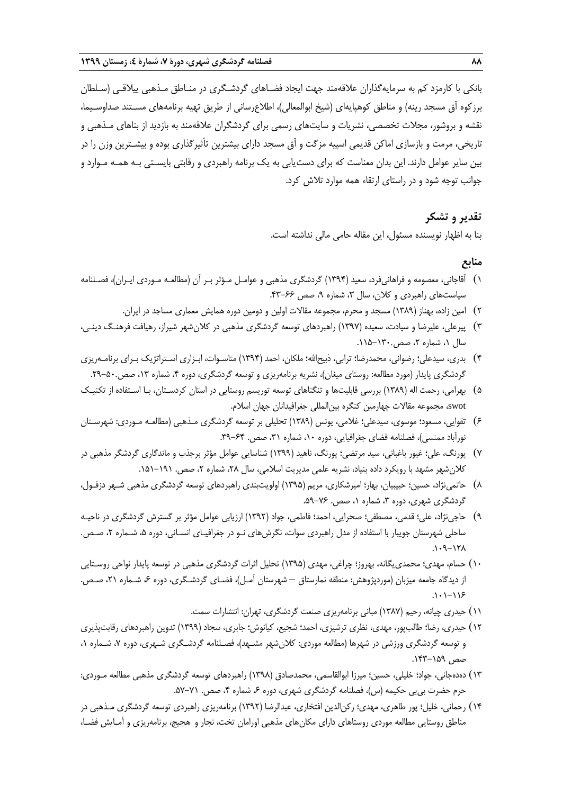بانکی با کارمزد کم به سرمایهگذاران عالقهمند جهت ایجاد فضـاهای گردشـگری در منـاطق مـذهبی ییالقـی )سـلطان برزکوه آق مسجد رینه) و مناطق کوهپایهای (شیخ ابوالمعالی)، اطلاعرسانی از طریق تهیه برنامههای مسـتند صداوسـیما، نقشه و بروشور، مجالت تخصصی، نشریات و سایتهای رسمی برای گردشگران عالقهمند به بازدید از بناهای مـذهبی و تاریخی، مرمت و بازسازی اماکن قدیمی اسپیه مزگت و آق مسجد دارای بیشترین تأثیرگذاری بوده و بیشـترین وزن را در بین سایر عوامل دارند. این بدان معناست که برای دستیابی به یک برنامه راهبردی و رقابتی بایسـتی بـه همـه مـوارد و جوانب توجه شود و در راستای ارتقاء همه موارد تالش کرد.

## **تقدیر و تشکر**

بنا به اظهار نویسنده مسئول، این مقاله حامی مالی نداشته است.

# **منابع**

- 1( آقاجانی، معصومه و فراهانیفرد، سعید )1394( گردشگری مذهبی و عوامـل مـؤثر بـر آن )مطالعـه مـوردی ایـران(، فصـلنامه سیاستهای راهبردی و کلان، سال ۳، شماره ۹، صص ۶۶-۴۳.
	- 2( امین زاده، بهناز )1389( مسجد و محرم، مجموعه مقاالت اولین و دومین دوره همایش معماری مساجد در ایران.
- 3( پیرعلی، علیرضا و سیادت، سعیده )1397( راهبردهای توسعه گردشگری مذهبی در کالنشهر شیراز، رهیافت فرهنـگ دینـی، سال ۱، شماره ۲، صص.۱۳۰-۱۱۵.
- 4( بدری، سیدعلی؛ رضوانی، محمدرضا؛ ترابی، ذبیحاهلل؛ ملکان، احمد )1394( متاسـوات، ابـزاری اسـتراتژیک بـرای برنامـهریزی گردشگری پایدار (مورد مطالعه: روستای میغان)، نشریه برنامهریزی و توسعه گردشگری، دوره ۴، شماره ۱۳، صص.۵۰-۲۹.
- 5( بهرامی، رحمت اله )1389( بررسی قابلیتها و تنگناهای توسعه توریسم روستایی در استان کردسـتان، بـا اسـتفاده از تکنیـک swot، مجموعه مقاالت چهارمین کنگره بینالمللی جغرافیدانان جهان اسالم.
- 6( تقوایی، مسعود؛ موسوی، سیدعلی؛ غالمی، یونس )1389( تحلیلی بر توسعه گردشگری مـذهبی )مطالعـه مـوردی: شهرسـتان نورآباد ممنسی)، فصلنامه فضای جغرافیایی، دوره ۱۰، شماره ۳۱، صص. ۶۴-۳۹.
- 7( پورنگ، علی؛ غیور باغبانی، سید مرتضی؛ پورنگ، ناهید )1399( شناسایی عوامل مؤثر برجذب و ماندگاری گردشگر مذهبی در کلان شهر مشهد با رویکرد داده بنیاد، نشریه علمی مدیریت اسلامی، سال ۲۸، شماره ۲، صص. ۱۹۱-۱۵۱.
- 8( حاتمینژاد، حسین؛ حبیبیان، بهار؛ امیرشکاری، مریم )1395( اولویتبندی راهبردهای توسعه گردشگری مذهبی شـهر دزفـول، گردشگری شهری، دوره ۳، شماره ۱، صص. ۷۶-۵۹.
- 9( حاجینژاد، علی؛ قدمی، مصطفی؛ صحرایی، احمد؛ فاطمی، جواد )1392( ارزیابی عوامل مؤثر بر گسترش گردشگری در ناحیـه ساحلی شهرستان جویبار با استفاده از مدل راهبردی سوات، نگرشهای نـو در جغرافیـای انسـانی، دوره ،5 شـماره ،2 صـص.  $N1-\rho$ .
- ۱۰) حسام، مهدی؛ محمدی یگانه، بهروز؛ چراغی، مهدی (۱۳۹۵) تحلیل اثرات گردشگری مذهبی در توسعه پایدار نواحی روسـتایی از دیدگاه جامعه میزبان (موردپژوهش: منطقه نمارستاق – شهرستان آمـل)، فضـای گردشـگری، دوره ۶، شـماره ۲۱، صـص.  $.1 - 119$ 
	- 11( حیدری چیانه، رحیم )1387( مبانی برنامهریزی صنعت گردشگری، تهران: انتشارات سمت.
- 12( حیدری، رضا؛ طالبپور، مهدی، نظری ترشیزی، احمد؛ شجیع، کیانوش؛ جابری، سجاد )1399( تدوین راهبردهای رقابتپذیری و توسعه گردشگری ورزشی در شهرها (مطالعه موردی: کلانِ شهر مشـهد)، فصـلنامه گردشـگری شـهری، دوره ۷، شـماره ۰، صص .143-159
- ١٣) دهدهجانی، جواد؛ خلیلی، حسین؛ میرزا ابوالقاسمی، محمدصادق (١٣٩٨) راهبردهای توسعه گردشگری مذهبی مطالعه مـوردی: حرم حضرت بی $_{1}$ ی حکیمه (س)، فصلنامه گردشگری شهری، دوره ۶۰ شماره ۴، صص. ۷۱–۵۷.
- 14( رحمانی، خلیل؛ پور طاهری، مهدی؛ رکنالدین افتخاری، عبدالرضا )1392( برنامهریزی راهبردی توسعه گردشگری مـذهبی در مناطق روستایی مطالعه موردی روستاهای دارای مکانهای مذهبی اورامان تخت، نجار و هجیج، برنامهریزی و آمـایش فضـا،